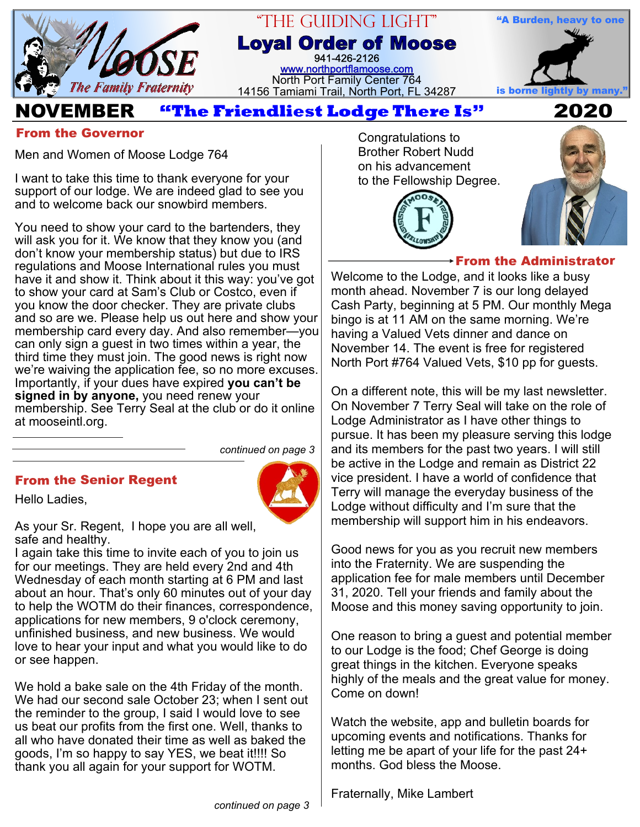

## "The Guiding Light" **Loyal Order of Moose** 941-426-2126 [www.northportflamoose.com](http://www.northportflamoose.com)

North Port Family Center 764 14156 Tamiami Trail, North Port, FL 34287 **is borne lightl** 



## **NOVEMBER 2020**

## **From the Governor**

Men and Women of Moose Lodge 764

I want to take this time to thank everyone for your support of our lodge. We are indeed glad to see you and to welcome back our snowbird members.

You need to show your card to the bartenders, they will ask you for it. We know that they know you (and don't know your membership status) but due to IRS regulations and Moose International rules you must have it and show it. Think about it this way: you've got to show your card at Sam's Club or Costco, even if you know the door checker. They are private clubs and so are we. Please help us out here and show your membership card every day. And also remember—you can only sign a guest in two times within a year, the third time they must join. The good news is right now we're waiving the application fee, so no more excuses. Importantly, if your dues have expired **you can't be signed in by anyone,** you need renew your membership. See Terry Seal at the club or do it online at mooseintl.org.

*continued on page 3*

#### **From the Senior Regent**

Hello Ladies,

As your Sr. Regent, I hope you are all well, safe and healthy.

I again take this time to invite each of you to join us for our meetings. They are held every 2nd and 4th Wednesday of each month starting at 6 PM and last about an hour. That's only 60 minutes out of your day to help the WOTM do their finances, correspondence, applications for new members, 9 o'clock ceremony, unfinished business, and new business. We would love to hear your input and what you would like to do or see happen.

We hold a bake sale on the 4th Friday of the month. We had our second sale October 23; when I sent out the reminder to the group, I said I would love to see us beat our profits from the first one. Well, thanks to all who have donated their time as well as baked the goods, I'm so happy to say YES, we beat it!!!! So thank you all again for your support for WOTM.

Congratulations to Brother Robert Nudd on his advancement to the Fellowship Degree.





**From the Administrator**

Welcome to the Lodge, and it looks like a busy month ahead. November 7 is our long delayed Cash Party, beginning at 5 PM. Our monthly Mega bingo is at 11 AM on the same morning. We're having a Valued Vets dinner and dance on November 14. The event is free for registered North Port #764 Valued Vets, \$10 pp for guests.

On a different note, this will be my last newsletter. On November 7 Terry Seal will take on the role of Lodge Administrator as I have other things to pursue. It has been my pleasure serving this lodge and its members for the past two years. I will still be active in the Lodge and remain as District 22 vice president. I have a world of confidence that Terry will manage the everyday business of the Lodge without difficulty and I'm sure that the membership will support him in his endeavors.

Good news for you as you recruit new members into the Fraternity. We are suspending the application fee for male members until December 31, 2020. Tell your friends and family about the Moose and this money saving opportunity to join.

One reason to bring a guest and potential member to our Lodge is the food; Chef George is doing great things in the kitchen. Everyone speaks highly of the meals and the great value for money. Come on down!

Watch the website, app and bulletin boards for upcoming events and notifications. Thanks for letting me be apart of your life for the past 24+ months. God bless the Moose.

Fraternally, Mike Lambert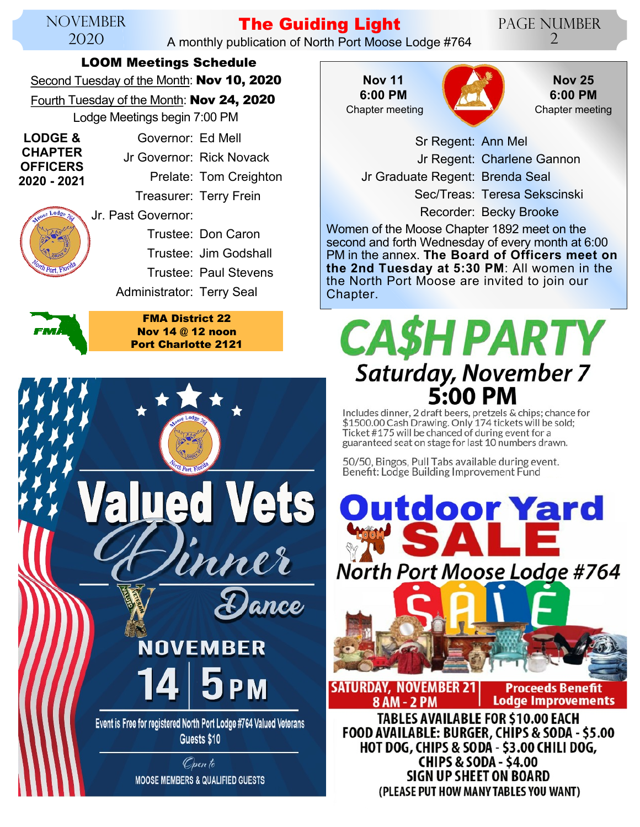## NOVEMBER 2020

## **The Guiding Light**

A monthly publication of North Port Moose Lodge #764

Page Number  $\mathcal{D}_{\cdot}$ 

## **LOOM Meetings Schedule** Second Tuesday of the Month: **Nov 10, 2020** Fourth Tuesday of the Month: **Nov 24, 2020** Lodge Meetings begin 7:00 PM **LODGE &** Governor: Ed Mell **CHAPTER** Jr Governor: Rick Novack **OFFICERS** Prelate: Tom Creighton **2020 - 2021** Treasurer: Terry Frein Jr. Past Governor: Trustee: Don Caron Trustee: Jim Godshall Trustee: Paul Stevens Administrator: Terry Seal **FMA District 22 Nov 14 @ 12 noon Port Charlotte 2121 alued Vets**

Chapter meeting **Nov 11 6:00 PM**



**Nov 25 6:00 PM** Chapter meeting

 Sr Regent: Ann Mel Jr Regent: Charlene Gannon Jr Graduate Regent: Brenda Seal Sec/Treas: Teresa Sekscinski

Recorder: Becky Brooke

Women of the Moose Chapter 1892 meet on the second and forth Wednesday of every month at 6:00 PM in the annex. **The Board of Officers meet on the 2nd Tuesday at 5:30 PM**: All women in the the North Port Moose are invited to join our Chapter.

# **CASH PARTY** Saturday, November 7<br>5:00 PM

Includes dinner, 2 draft beers, pretzels & chips; chance for \$1500.00 Cash Drawing. Only 174 tickets will be sold; Ticket #175 will be chanced of during event for a guaranteed seat on stage for last 10 numbers drawn.

50/50, Bingos, Pull Tabs available during event. Benefit: Lodge Building Improvement Fund



**SATURDAY, NOVEMBER 21** Proceeds Benefit **Lodge Improvements** 8 AM - 2 PM

**TABLES AVAILABLE FOR \$10.00 EACH** FOOD AVAILABLE: BURGER, CHIPS & SODA - \$5.00 HOT DOG, CHIPS & SODA - \$3.00 CHILI DOG, **CHIPS & SODA - \$4.00** SIGN UP SHEET ON BOARD (PLEASE PUT HOW MANY TABLES YOU WANT)

Open to **MOOSE MEMBERS & QUALIFIED GUESTS** 

Event is Free for registered North Port Lodge #764 Valued Veterans

Guests \$10

**NOVEMBER** 

nner

5 рм

ance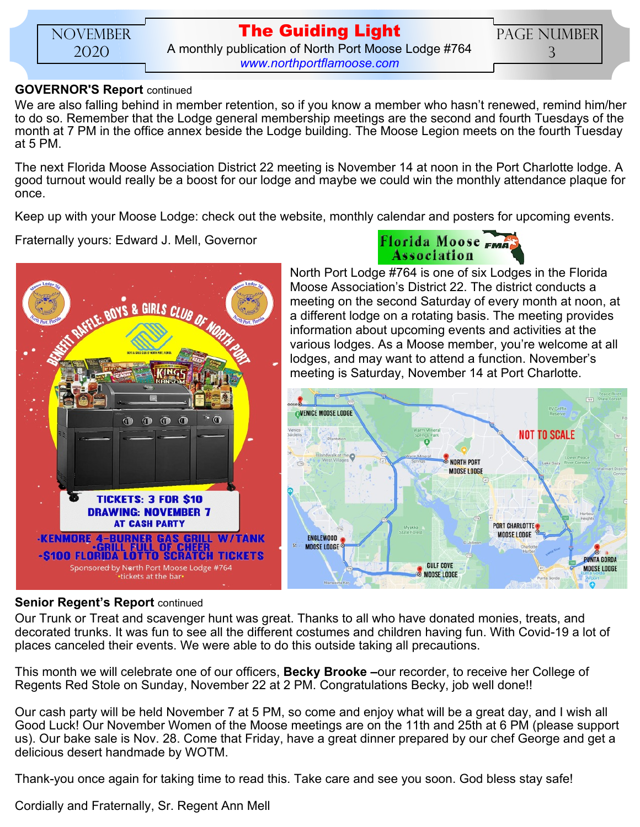#### **GOVERNOR'S Report** continued

We are also falling behind in member retention, so if you know a member who hasn't renewed, remind him/her to do so. Remember that the Lodge general membership meetings are the second and fourth Tuesdays of the month at 7 PM in the office annex beside the Lodge building. The Moose Legion meets on the fourth Tuesday at 5 PM.

The next Florida Moose Association District 22 meeting is November 14 at noon in the Port Charlotte lodge. A good turnout would really be a boost for our lodge and maybe we could win the monthly attendance plaque for once.

Keep up with your Moose Lodge: check out the website, monthly calendar and posters for upcoming events.

Fraternally yours: Edward J. Mell, Governor

RAFFLE: BOYS & GIRLS CLUB OF MORT

 $\mathbf{O}$   $\mathbf{O}$   $\mathbf{O}$ 

**TICKETS: 3 FOR \$10 DRAWING: NOVEMBER 7 AT CASH PARTY** 

-KENMORE 4-BURNER GAS GRILL W/TANK<br>-S100 FLORIDA LOTTO SCRATCH TICKETS

Sponsored by North Port Moose Lodge #764

•tickets at the bar•

 $\bigcirc$ 

 $\cdot$   $\sigma$ 



North Port Lodge #764 is one of six Lodges in the Florida Moose Association's District 22. The district conducts a meeting on the second Saturday of every month at noon, at a different lodge on a rotating basis. The meeting provides information about upcoming events and activities at the various lodges. As a Moose member, you're welcome at all lodges, and may want to attend a function. November's meeting is Saturday, November 14 at Port Charlotte.



## **Senior Regent's Report** continued

Our Trunk or Treat and scavenger hunt was great. Thanks to all who have donated monies, treats, and decorated trunks. It was fun to see all the different costumes and children having fun. With Covid-19 a lot of places canceled their events. We were able to do this outside taking all precautions.

This month we will celebrate one of our officers, **Becky Brooke –**our recorder, to receive her College of Regents Red Stole on Sunday, November 22 at 2 PM. Congratulations Becky, job well done!!

Our cash party will be held November 7 at 5 PM, so come and enjoy what will be a great day, and I wish all Good Luck! Our November Women of the Moose meetings are on the 11th and 25th at 6 PM (please support us). Our bake sale is Nov. 28. Come that Friday, have a great dinner prepared by our chef George and get a delicious desert handmade by WOTM.

Thank-you once again for taking time to read this. Take care and see you soon. God bless stay safe!

Cordially and Fraternally, Sr. Regent Ann Mell